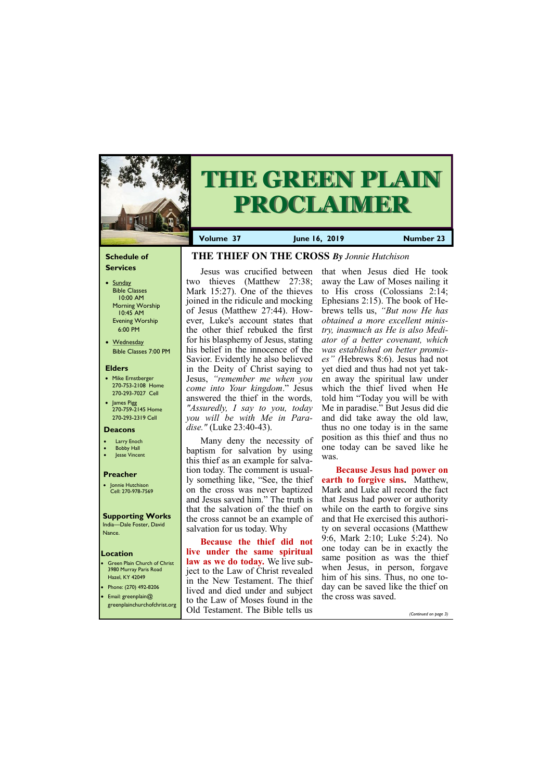## **Schedule of Services**

- Sunday Bible Classes 10:00 AM Morning Worship 10:45 AM Evening Worship 6:00 PM
- Wednesday Bible Classes 7:00 PM

#### **Elders**

- Mike Ernstberger 270-753-2108 Home 270-293-7027 Cell
- James Pigg 270-759-2145 Home 270-293-2319 Cell

## **Location**

• Green Plain Church of Christ 3980 Murray Paris Road Hazel, KY 42049 • Phone: (270) 492-8206





**Volume 37 June 16, 2019 Number 23**

#### **Deacons**

- **Larry Enoch**
- **Bobby Hall**
- Jesse Vincent

#### **Preacher**

• Jonnie Hutchison Cell: 270-978-7569

## **Supporting Works**

India—Dale Foster, David Nance.

# **THE THIEF ON THE CROSS** *By Jonnie Hutchison*

Jesus was crucified between two thieves (Matthew 27:38; Mark 15:27). One of the thieves joined in the ridicule and mocking of Jesus (Matthew 27:44). However, Luke's account states that the other thief rebuked the first for his blasphemy of Jesus, stating his belief in the innocence of the Savior. Evidently he also believed in the Deity of Christ saying to Jesus, *"remember me when you come into Your kingdom*." Jesus answered the thief in the words*, "Assuredly, I say to you, today you will be with Me in Paradise."* (Luke 23:40-43).

Many deny the necessity of baptism for salvation by using this thief as an example for salvation today. The comment is usually something like, "See, the thief on the cross was never baptized and Jesus saved him." The truth is that the salvation of the thief on the cross cannot be an example of salvation for us today. Why

| Email: greenplain $@$<br>greenplainchurchofchrist.org | Treat and died under and subject<br>to the Law of Moses found in the | the cross was saved. |                       |
|-------------------------------------------------------|----------------------------------------------------------------------|----------------------|-----------------------|
|                                                       | Old Testament. The Bible tells us                                    |                      | (Continued on page 3) |

**Because the thief did not live under the same spiritual law as we do today.** We live subject to the Law of Christ revealed in the New Testament. The thief lived and died under and subject

that when Jesus died He took away the Law of Moses nailing it to His cross (Colossians 2:14; Ephesians 2:15). The book of Hebrews tells us, *"But now He has obtained a more excellent ministry, inasmuch as He is also Mediator of a better covenant, which was established on better promises" (*Hebrews 8:6). Jesus had not yet died and thus had not yet taken away the spiritual law under which the thief lived when He told him "Today you will be with Me in paradise." But Jesus did die and did take away the old law, thus no one today is in the same position as this thief and thus no one today can be saved like he was.

**Because Jesus had power on earth to forgive sins.** Matthew, Mark and Luke all record the fact that Jesus had power or authority while on the earth to forgive sins and that He exercised this authority on several occasions (Matthew 9:6, Mark 2:10; Luke 5:24). No one today can be in exactly the same position as was the thief when Jesus, in person, forgave him of his sins. Thus, no one today can be saved like the thief on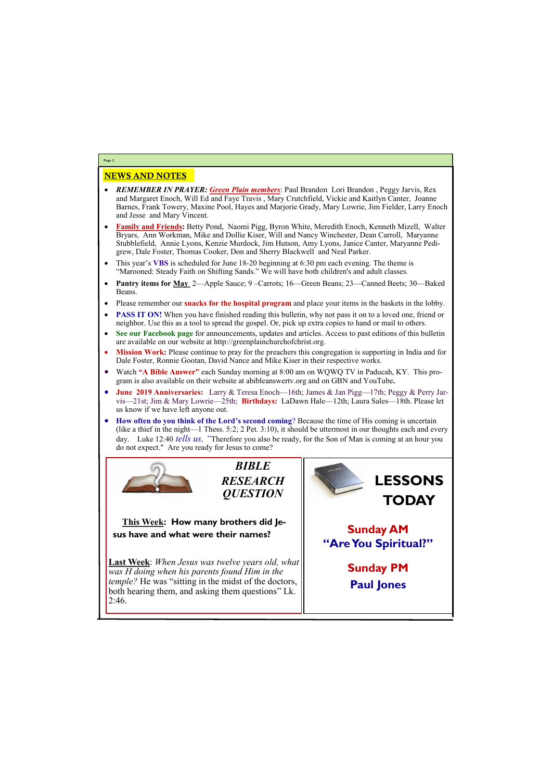## NEWS AND NOTES

- *REMEMBER IN PRAYER: Green Plain members*: Paul Brandon Lori Brandon , Peggy Jarvis, Rex and Margaret Enoch, Will Ed and Faye Travis , Mary Crutchfield, Vickie and Kaitlyn Canter, Joanne Barnes, Frank Towery, Maxine Pool, Hayes and Marjorie Grady, Mary Lowrie, Jim Fielder, Larry Enoch and Jesse and Mary Vincent.
- **Family and Friends:** Betty Pond, Naomi Pigg, Byron White, Meredith Enoch, Kenneth Mizell, Walter Bryars, Ann Workman, Mike and Dollie Kiser, Will and Nancy Winchester, Dean Carroll, Maryanne Stubblefield, Annie Lyons, Kenzie Murdock, Jim Hutson, Amy Lyons, Janice Canter, Maryanne Pedigrew, Dale Foster, Thomas Cooker, Don and Sherry Blackwell and Neal Parker.
- This year's **VBS** is scheduled for June 18-20 beginning at 6:30 pm each evening. The theme is "Marooned: Steady Faith on Shifting Sands." We will have both children's and adult classes.
- **Pantry items for May** 2—Apple Sauce; 9 –Carrots; 16—Green Beans; 23—Canned Beets; 30—Baked Beans.
- Please remember our **snacks for the hospital program** and place your items in the baskets in the lobby.
- **PASS IT ON!** When you have finished reading this bulletin, why not pass it on to a loved one, friend or neighbor. Use this as a tool to spread the gospel. Or, pick up extra copies to hand or mail to others.
- **See our Facebook page** for announcements, updates and articles. Access to past editions of this bulletin are available on our website at http://greenplainchurchofchrist.org.
- **Mission Work:** Please continue to pray for the preachers this congregation is supporting in India and for Dale Foster, Ronnie Gootan, David Nance and Mike Kiser in their respective works.
- Watch **"A Bible Answer"** each Sunday morning at 8:00 am on WQWQ TV in Paducah, KY. This program is also available on their website at abibleanswertv.org and on GBN and YouTube**.**
- **June 2019 Anniversaries:** Larry & Teresa Enoch—16th; James & Jan Pigg—17th; Peggy & Perry Jarvis—21st; Jim & Mary Lowrie—25th; **Birthdays:** LaDawn Hale—12th; Laura Sales—18th. Please let us know if we have left anyone out.
- **How often do you think of the Lord's second coming**? Because the time of His coming is uncertain (like a thief in the night—1 Thess. 5:2; 2 Pet. 3:10), it should be uttermost in our thoughts each and every day. Luke 12:40 *tells us, "*Therefore you also be ready, for the Son of Man is coming at an hour you do not expect." Are you ready for Jesus to come?



**Page 2**

*BIBLE RESEARCH QUESTION*

**This Week: How many brothers did Jesus have and what were their names?**

**Last Week**: *When Jesus was twelve years old, what was H doing when his parents found Him in the temple?* He was "sitting in the midst of the doctors,

| both hearing them, and asking them questions" Lk.<br>2:46. | <u>i wai johoj</u> |
|------------------------------------------------------------|--------------------|
|                                                            |                    |

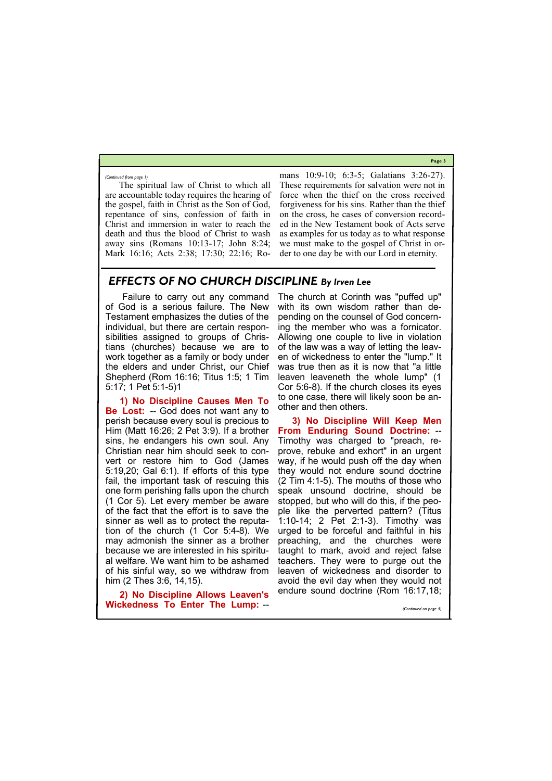**Page 3**

The spiritual law of Christ to which all are accountable today requires the hearing of the gospel, faith in Christ as the Son of God, repentance of sins, confession of faith in Christ and immersion in water to reach the death and thus the blood of Christ to wash away sins (Romans 10:13-17; John 8:24; Mark 16:16; Acts 2:38; 17:30; 22:16; Romans 10:9-10; 6:3-5; Galatians 3:26-27). These requirements for salvation were not in force when the thief on the cross received forgiveness for his sins. Rather than the thief on the cross, he cases of conversion recorded in the New Testament book of Acts serve as examples for us today as to what response we must make to the gospel of Christ in order to one day be with our Lord in eternity.

*(Continued from page 1)*

# *EFFECTS OF NO CHURCH DISCIPLINE By Irven Lee*

Failure to carry out any command of God is a serious failure. The New Testament emphasizes the duties of the individual, but there are certain responsibilities assigned to groups of Christians (churches) because we are to work together as a family or body under the elders and under Christ, our Chief Shepherd (Rom 16:16; Titus 1:5; 1 Tim 5:17; 1 Pet 5:1-5)1

**1) No Discipline Causes Men To Be Lost:** -- God does not want any to perish because every soul is precious to Him (Matt 16:26; 2 Pet 3:9). If a brother sins, he endangers his own soul. Any Christian near him should seek to convert or restore him to God (James 5:19,20; Gal 6:1). If efforts of this type fail, the important task of rescuing this one form perishing falls upon the church (1 Cor 5). Let every member be aware of the fact that the effort is to save the sinner as well as to protect the reputation of the church (1 Cor 5:4-8). We may admonish the sinner as a brother because we are interested in his spiritual welfare. We want him to be ashamed of his sinful way, so we withdraw from him (2 Thes 3:6, 14,15).

The church at Corinth was "puffed up" with its own wisdom rather than depending on the counsel of God concerning the member who was a fornicator. Allowing one couple to live in violation of the law was a way of letting the leaven of wickedness to enter the "lump." It was true then as it is now that "a little leaven leaveneth the whole lump" (1 Cor 5:6-8). If the church closes its eyes to one case, there will likely soon be another and then others.

**2) No Discipline Allows Leaven's Wickedness To Enter The Lump:** - endure sound doctrine (Rom 16:17,18; *(Continued on page 4)*

**3) No Discipline Will Keep Men From Enduring Sound Doctrine:** -- Timothy was charged to "preach, reprove, rebuke and exhort" in an urgent way, if he would push off the day when they would not endure sound doctrine (2 Tim 4:1-5). The mouths of those who speak unsound doctrine, should be stopped, but who will do this, if the people like the perverted pattern? (Titus 1:10-14; 2 Pet 2:1-3). Timothy was urged to be forceful and faithful in his preaching, and the churches were taught to mark, avoid and reject false teachers. They were to purge out the leaven of wickedness and disorder to avoid the evil day when they would not